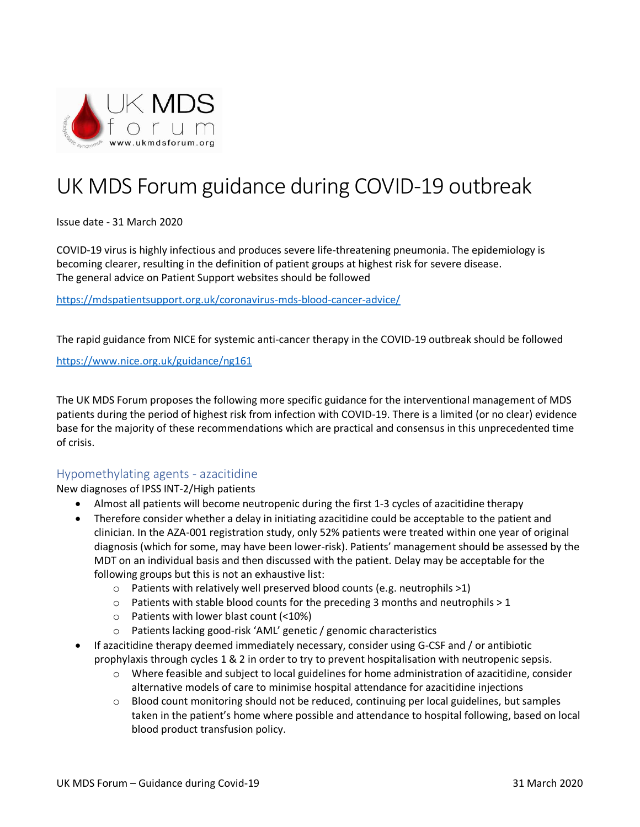

# UK MDS Forum guidance during COVID-19 outbreak

Issue date - 31 March 2020

COVID-19 virus is highly infectious and produces severe life-threatening pneumonia. The epidemiology is becoming clearer, resulting in the definition of patient groups at highest risk for severe disease. The general advice on Patient Support websites should be followed

<https://mdspatientsupport.org.uk/coronavirus-mds-blood-cancer-advice/>

The rapid guidance from NICE for systemic anti-cancer therapy in the COVID-19 outbreak should be followed

#### https://www.nice.org.uk/guidance/ng161

The UK MDS Forum proposes the following more specific guidance for the interventional management of MDS patients during the period of highest risk from infection with COVID-19. There is a limited (or no clear) evidence base for the majority of these recommendations which are practical and consensus in this unprecedented time of crisis.

# Hypomethylating agents - azacitidine

New diagnoses of IPSS INT-2/High patients

- Almost all patients will become neutropenic during the first 1-3 cycles of azacitidine therapy
- Therefore consider whether a delay in initiating azacitidine could be acceptable to the patient and clinician. In the AZA-001 registration study, only 52% patients were treated within one year of original diagnosis (which for some, may have been lower-risk). Patients' management should be assessed by the MDT on an individual basis and then discussed with the patient. Delay may be acceptable for the following groups but this is not an exhaustive list:
	- o Patients with relatively well preserved blood counts (e.g. neutrophils >1)
	- $\circ$  Patients with stable blood counts for the preceding 3 months and neutrophils > 1
	- o Patients with lower blast count (<10%)
	- o Patients lacking good-risk 'AML' genetic / genomic characteristics
- If azacitidine therapy deemed immediately necessary, consider using G-CSF and / or antibiotic prophylaxis through cycles 1 & 2 in order to try to prevent hospitalisation with neutropenic sepsis.
	- $\circ$  Where feasible and subject to local guidelines for home administration of azacitidine, consider alternative models of care to minimise hospital attendance for azacitidine injections
	- $\circ$  Blood count monitoring should not be reduced, continuing per local guidelines, but samples taken in the patient's home where possible and attendance to hospital following, based on local blood product transfusion policy.